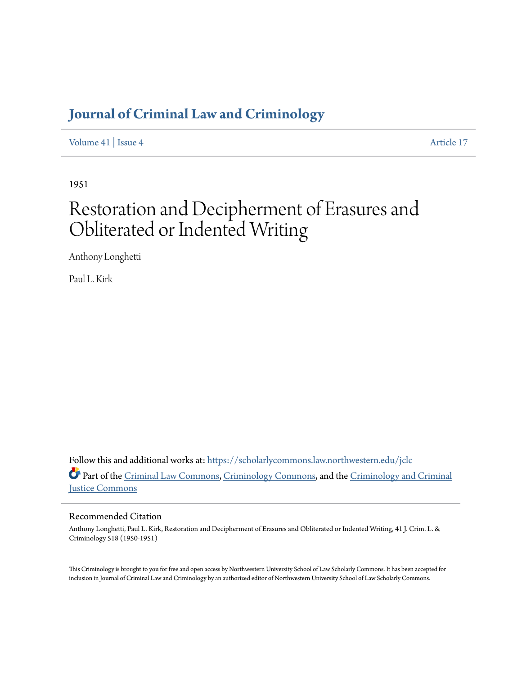# **[Journal of Criminal Law and Criminology](https://scholarlycommons.law.northwestern.edu/jclc?utm_source=scholarlycommons.law.northwestern.edu%2Fjclc%2Fvol41%2Fiss4%2F17&utm_medium=PDF&utm_campaign=PDFCoverPages)**

[Volume 41](https://scholarlycommons.law.northwestern.edu/jclc/vol41?utm_source=scholarlycommons.law.northwestern.edu%2Fjclc%2Fvol41%2Fiss4%2F17&utm_medium=PDF&utm_campaign=PDFCoverPages) | [Issue 4](https://scholarlycommons.law.northwestern.edu/jclc/vol41/iss4?utm_source=scholarlycommons.law.northwestern.edu%2Fjclc%2Fvol41%2Fiss4%2F17&utm_medium=PDF&utm_campaign=PDFCoverPages) [Article 17](https://scholarlycommons.law.northwestern.edu/jclc/vol41/iss4/17?utm_source=scholarlycommons.law.northwestern.edu%2Fjclc%2Fvol41%2Fiss4%2F17&utm_medium=PDF&utm_campaign=PDFCoverPages)

1951

# Restoration and Decipherment of Erasures and Obliterated or Indented Writing

Anthony Longhetti

Paul L. Kirk

Follow this and additional works at: [https://scholarlycommons.law.northwestern.edu/jclc](https://scholarlycommons.law.northwestern.edu/jclc?utm_source=scholarlycommons.law.northwestern.edu%2Fjclc%2Fvol41%2Fiss4%2F17&utm_medium=PDF&utm_campaign=PDFCoverPages) Part of the [Criminal Law Commons](http://network.bepress.com/hgg/discipline/912?utm_source=scholarlycommons.law.northwestern.edu%2Fjclc%2Fvol41%2Fiss4%2F17&utm_medium=PDF&utm_campaign=PDFCoverPages), [Criminology Commons](http://network.bepress.com/hgg/discipline/417?utm_source=scholarlycommons.law.northwestern.edu%2Fjclc%2Fvol41%2Fiss4%2F17&utm_medium=PDF&utm_campaign=PDFCoverPages), and the [Criminology and Criminal](http://network.bepress.com/hgg/discipline/367?utm_source=scholarlycommons.law.northwestern.edu%2Fjclc%2Fvol41%2Fiss4%2F17&utm_medium=PDF&utm_campaign=PDFCoverPages) [Justice Commons](http://network.bepress.com/hgg/discipline/367?utm_source=scholarlycommons.law.northwestern.edu%2Fjclc%2Fvol41%2Fiss4%2F17&utm_medium=PDF&utm_campaign=PDFCoverPages)

# Recommended Citation

Anthony Longhetti, Paul L. Kirk, Restoration and Decipherment of Erasures and Obliterated or Indented Writing, 41 J. Crim. L. & Criminology 518 (1950-1951)

This Criminology is brought to you for free and open access by Northwestern University School of Law Scholarly Commons. It has been accepted for inclusion in Journal of Criminal Law and Criminology by an authorized editor of Northwestern University School of Law Scholarly Commons.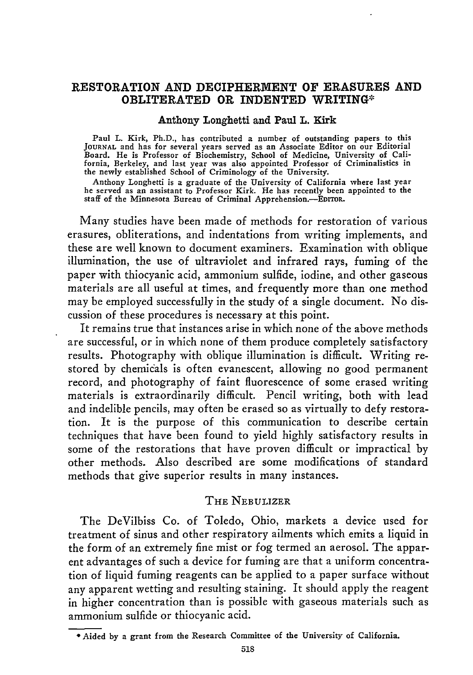#### RESTORATION **AND** DECIPHERMENT OF ERASURES **AND** OBLITERATED OR INDENTED WRITING\*

#### Anthony Longhetti and PauI L. Kirk

**Paul L.** Kirk, **Ph.D., has contributed** a **number of outstanding papers to this JOURNAL and** has **for several** years **served** as an Associate **Editor on our Editorial** Board. He is Professor of Biochemistry, School of Medicine, University of California, Berkeley, and last year was also appointed Professor of Criminalistics in<br>the newly established School of Criminology of the University.

Anthony Longhetti is a graduate of the University of California where last year<br>he served as an assistant to Professor Kirk. He has recently been appointed to the staff **of the** Minnesota Bureau **of** Criminal Apprehension.-EDITOR.

Many studies have been made of methods for restoration of various erasures, obliterations, and indentations from writing implements, and these are well known to document examiners. Examination with oblique illumination, the use of ultraviolet and infrared rays, fuming of the paper with thiocyanic acid, ammonium sulfide, iodine, and other gaseous materials are all useful at times, and frequently more than one method may be employed successfully in the study of a single document. No discussion of these procedures is necessary at this point.

It remains true that instances arise in which none of the above methods are successful, or in which none of them produce completely satisfactory results. Photography with oblique illumination is difficult. Writing restored by chemicals is often evanescent, allowing no good permanent record, and photography of faint fluorescence of some erased writing materials is extraordinarily difficult. Pencil writing, both with lead and indelible pencils, may often be erased so as virtually to defy restoration. It is the purpose of this communication to describe certain techniques that have been found to yield highly satisfactory results in some of the restorations that have proven difficult or impractical by other methods. Also described are some modifications of standard methods that give superior results in many instances.

# **THE** NEBULIZER

The DeVilbiss Co. of Toledo, Ohio, markets a device used for treatment of sinus and other respiratory ailments which emits a liquid in the form of an extremely fine mist or fog termed an aerosol. The apparent advantages of such a device for fuming are that a uniform concentration of liquid fuming reagents can be applied to a paper surface without any apparent wetting and resulting staining. It should apply the reagent in higher concentration than is possible with gaseous materials such as ammonium sulfide or thiocyanic acid.

<sup>\*</sup> **Aided by** a **grant from the Research Committee of the University** of California.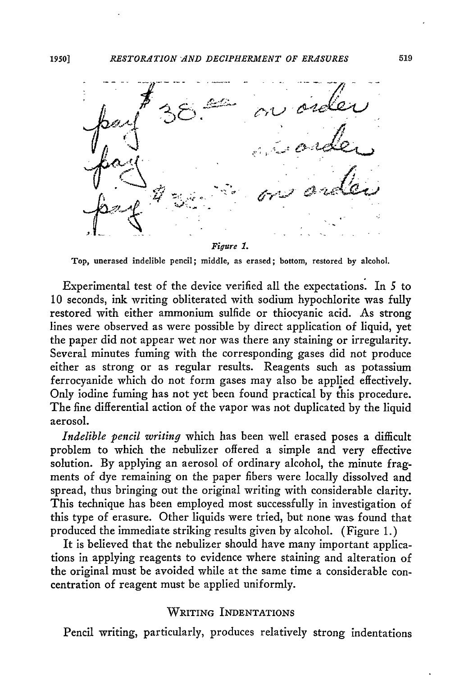

Top, unerased indelible pencil; middle, as erased; bottom, restored **by** alcohol.

Experimental test of the device verified all the expectations. In *5* to 10 seconds, ink writing obliterated with sodium hypochlorite was fully restored with either ammonium sulfide or thiocyanic acid. As strong lines were observed as were possible by direct application of liquid, yet the paper did not appear wet nor was there any staining or irregularity. Several minutes fuming with the corresponding gases did not produce either as strong or as regular results. Reagents such as potassium ferrocyanide which do not form gases may also be applied effectively. Only iodine fuming has not yet been found practical by this procedure. The fine differential action of the vapor was not duplicated by the liquid aerosol.

*Indelible pencil writing* which has been well erased poses a difficult problem to which the nebulizer offered a simple and very effective solution. By applying an aerosol of ordinary alcohol, the minute fragments of dye remaining on the paper fibers were locally dissolved and spread, thus bringing out the original writing with considerable clarity. This technique has been employed most successfully in investigation of this type of erasure. Other liquids were tried, but none was found that produced the immediate striking results given by alcohol. (Figure 1.)

It is believed that the nebulizer should have many important applications in applying reagents to evidence where staining and alteration of the original must be avoided while at the same time a considerable concentration of reagent must be applied uniformly.

# WRITING **INDENTATIONS**

Pencil writing, particularly, produces relatively strong indentations

519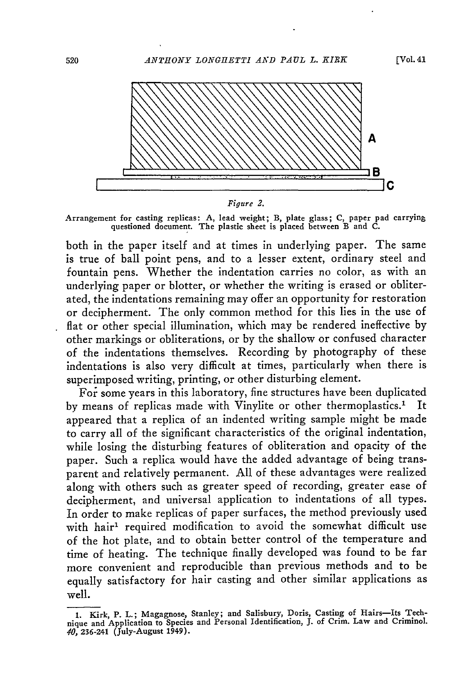

*Figure 2.*

**Arrangement** for casting replicas: **A,** lead weight; B, plate glass; **C, paper pad** carrying questioned document. The plastic sheet is placed between B and **C.**

both in the paper itself and at times in underlying paper. The same is true of ball point pens, and to a lesser extent, ordinary steel and fountain pens. Whether the indentation carries no color, as with an underlying paper or blotter, or whether the writing is erased or obliterated, the indentations remaining may offer an opportunity for restoration or decipherment. The only common method for this lies in the use of flat or other special illumination, which may be rendered ineffective by other markings or obliterations, or by the shallow or confused character of the indentations themselves. Recording by photography of these indentations is also very difficult at times, particularly when there is superimposed writing, printing, or other disturbing element.

For some years in this laboratory, fine structures have been duplicated by means of replicas made with Vinylite or other thermoplastics.' It appeared that a replica of an indented writing sample might be made to carry all of the significant characteristics of the original indentation, while losing the disturbing features of obliteration and opacity of the paper. Such a replica would have the added advantage of being transparent and relatively permanent. All of these advantages were realized along with others such as greater speed of recording, greater ease of decipherment, and universal application to indentations of all types. In order to make replicas of paper surfaces, the method previously used with hair' required modification to avoid the somewhat difficult use of the hot plate, and to obtain better control of the temperature and time of heating. The technique finally developed was found to be far more convenient and reproducible than previous methods and to be equally satisfactory for hair casting and other similar applications as well.

**<sup>1.</sup>** Kirk, **P. L.;** Magagnose, Stanley; **and** Salisbury, **Doris, Casting of** Hairs-Its **Tech-nique and Application to Species and Personal Identification, J. of Crim. Law and Criminol.** *40,* **236-241** (July-August **1949).**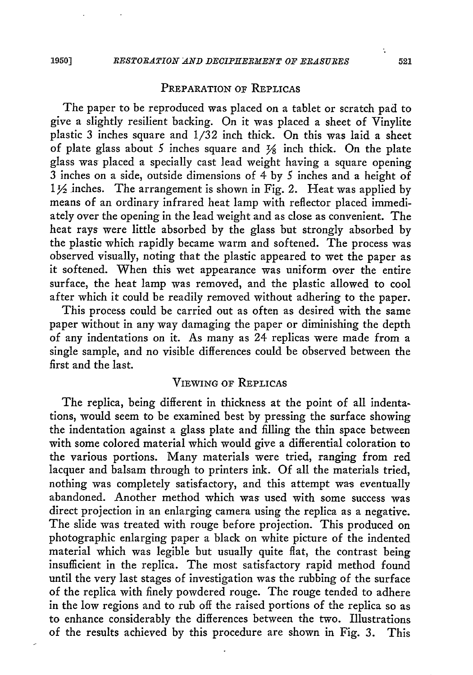#### PREPARATION OF **REPLICAS**

The paper to be reproduced was placed on a tablet or scratch pad to give a slightly resilient backing. On it was placed a sheet of Vinylite plastic 3 inches square and 1/32 inch thick. On this was laid a sheet of plate glass about 5 inches square and  $\frac{1}{8}$  inch thick. On the plate glass was placed a specially cast lead weight having a square opening 3 inches on a side, outside dimensions of 4 by *5* inches and a height of  $1\frac{1}{2}$  inches. The arrangement is shown in Fig. 2. Heat was applied by means of an ordinary infrared heat lamp with reflector placed immediately over the opening in the lead weight and as close as convenient. The heat rays were little absorbed by the glass but strongly absorbed by the plastic which rapidly became warm and softened. The process was observed visually, noting that the plastic appeared to wet the paper as it softened. When this wet appearance was uniform over the entire surface, the heat lamp was removed, and the plastic allowed to cool after which it could be readily removed without adhering to the paper.

This process could be carried out as often as desired with the same paper without in any way damaging the paper or diminishing the depth of any indentations on it. As many as 24 replicas were made from a single sample, and no visible differences could be observed between the first and the last.

# VIEWING OF REPLICAS

The replica, being different in thickness at the point of all indentations, would seem to be examined best by pressing the surface showing the indentation against a glass plate and filling the thin space between with some colored material which would give a differential coloration to the various portions. Many materials were tried, ranging from red lacquer and balsam through to printers ink. Of all the materials tried, nothing was completely satisfactory, and this attempt was eventually abandoned. Another method which was used with some success was direct projection in an enlarging camera using the replica as a negative. The slide was treated with rouge before projection. This produced on photographic enlarging paper a black on white picture of the indented material which was legible but usually quite flat, the contrast being insufficient in the replica. The most satisfactory rapid method found until the very last stages of investigation was the rubbing of the surface of the replica with finely powdered rouge. The rouge tended to adhere in the low regions and to rub off the raised portions of the replica so as to enhance considerably the differences between the two. Illustrations of the results achieved by this procedure are shown in Fig. 3. This

**1950]**